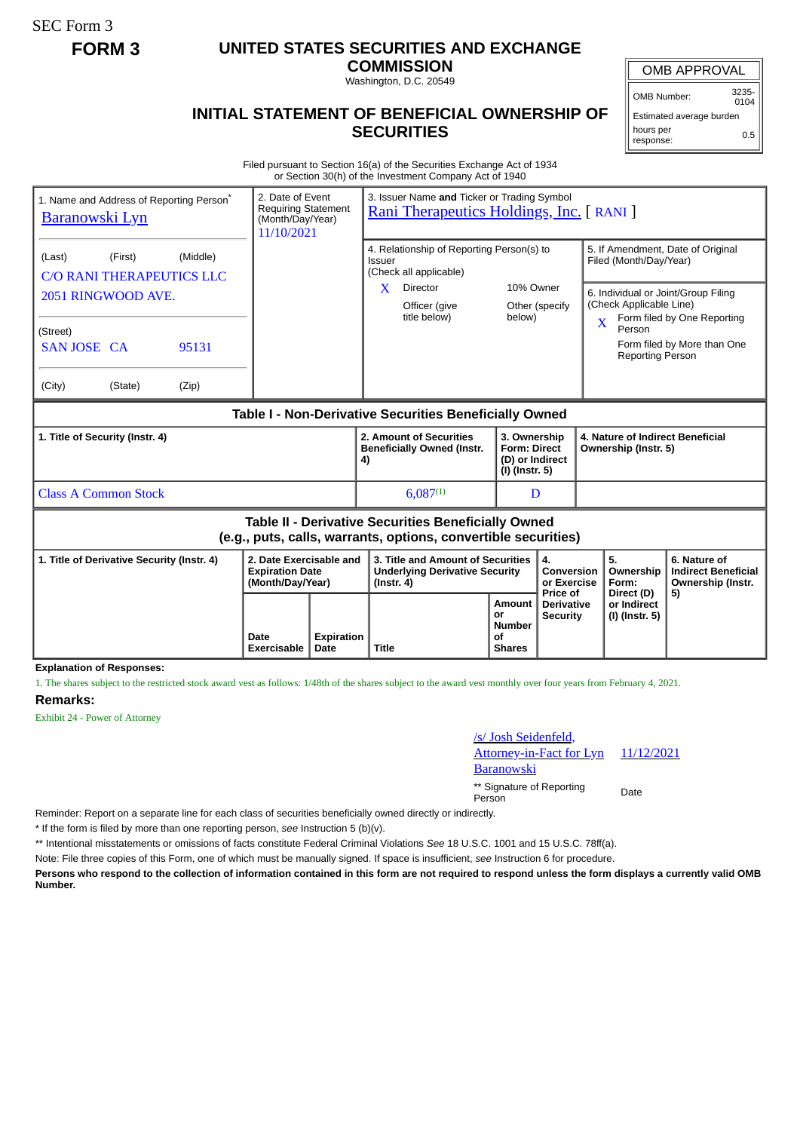SEC Form 3

## **FORM 3 UNITED STATES SECURITIES AND EXCHANGE**

**COMMISSION** Washington, D.C. 20549

OMB APPROVAL

OMB Number: 3235-  $0104$ 

## **INITIAL STATEMENT OF BENEFICIAL OWNERSHIP OF SECURITIES**

Estimated average burden hours per response: 0.5

Filed pursuant to Section 16(a) of the Securities Exchange Act of 1934 or Section 30(h) of the Investment Company Act of 1940

| 1. Name and Address of Reporting Person <sup>®</sup><br><b>Baranowski Lyn</b>                                         |         |       | 2. Date of Event<br>3. Issuer Name and Ticker or Trading Symbol<br>Requiring Statement<br>Rani Therapeutics Holdings, Inc. [ RANI ]<br>(Month/Day/Year)<br>11/10/2021 |                           |                                                                                                |                                                                          |                                                  |                                                                                                              |                                        |                                                                       |  |
|-----------------------------------------------------------------------------------------------------------------------|---------|-------|-----------------------------------------------------------------------------------------------------------------------------------------------------------------------|---------------------------|------------------------------------------------------------------------------------------------|--------------------------------------------------------------------------|--------------------------------------------------|--------------------------------------------------------------------------------------------------------------|----------------------------------------|-----------------------------------------------------------------------|--|
| (First)<br>(Middle)<br>(Last)<br><b>C/O RANI THERAPEUTICS LLC</b>                                                     |         |       |                                                                                                                                                                       |                           | 4. Relationship of Reporting Person(s) to<br>Issuer<br>(Check all applicable)                  | 10% Owner<br>Other (specify<br>below)                                    |                                                  | 5. If Amendment, Date of Original<br>Filed (Month/Day/Year)                                                  |                                        |                                                                       |  |
| 2051 RINGWOOD AVE.                                                                                                    |         |       |                                                                                                                                                                       |                           | $\mathbf{X}$<br>Director<br>Officer (give<br>title below)                                      |                                                                          |                                                  | 6. Individual or Joint/Group Filing<br>(Check Applicable Line)<br>Form filed by One Reporting<br>X<br>Person |                                        |                                                                       |  |
| (Street)<br>SAN JOSE CA                                                                                               |         | 95131 |                                                                                                                                                                       |                           |                                                                                                |                                                                          |                                                  |                                                                                                              | <b>Reporting Person</b>                | Form filed by More than One                                           |  |
| (City)                                                                                                                | (State) | (Zip) |                                                                                                                                                                       |                           |                                                                                                |                                                                          |                                                  |                                                                                                              |                                        |                                                                       |  |
| <b>Table I - Non-Derivative Securities Beneficially Owned</b>                                                         |         |       |                                                                                                                                                                       |                           |                                                                                                |                                                                          |                                                  |                                                                                                              |                                        |                                                                       |  |
| 1. Title of Security (Instr. 4)                                                                                       |         |       |                                                                                                                                                                       |                           | 2. Amount of Securities<br><b>Beneficially Owned (Instr.</b><br>4)                             | 3. Ownership<br><b>Form: Direct</b><br>(D) or Indirect<br>(I) (Instr. 5) |                                                  | 4. Nature of Indirect Beneficial<br>Ownership (Instr. 5)                                                     |                                        |                                                                       |  |
| <b>Class A Common Stock</b>                                                                                           |         |       |                                                                                                                                                                       |                           | $6,087^{(1)}$                                                                                  |                                                                          | D                                                |                                                                                                              |                                        |                                                                       |  |
| Table II - Derivative Securities Beneficially Owned<br>(e.g., puts, calls, warrants, options, convertible securities) |         |       |                                                                                                                                                                       |                           |                                                                                                |                                                                          |                                                  |                                                                                                              |                                        |                                                                       |  |
| 1. Title of Derivative Security (Instr. 4)                                                                            |         |       | 2. Date Exercisable and<br><b>Expiration Date</b><br>(Month/Day/Year)                                                                                                 |                           | 3. Title and Amount of Securities<br><b>Underlying Derivative Security</b><br>$($ lnstr. 4 $)$ |                                                                          | 4.<br>Conversion<br>or Exercise                  |                                                                                                              | 5.<br>Ownership<br>Form:<br>Direct (D) | 6. Nature of<br><b>Indirect Beneficial</b><br>Ownership (Instr.<br>5) |  |
|                                                                                                                       |         |       | Date<br>Exercisable                                                                                                                                                   | <b>Expiration</b><br>Date | <b>Title</b>                                                                                   | Amount<br>or<br><b>Number</b><br>οf<br><b>Shares</b>                     | Price of<br><b>Derivative</b><br><b>Security</b> |                                                                                                              | or Indirect<br>(I) (Instr. 5)          |                                                                       |  |
| <b>Explanation of Responses:</b>                                                                                      |         |       |                                                                                                                                                                       |                           |                                                                                                |                                                                          |                                                  |                                                                                                              |                                        |                                                                       |  |

1. The shares subject to the restricted stock award vest as follows: 1/48th of the shares subject to the award vest monthly over four years from February 4, 2021.

## **Remarks:**

Exhibit 24 - Power of Attorney

## /s/ Josh Seidenfeld,

11/12/2021

ttorney-in-Fact for Lyn

Baranowski

\*\* Signature of Reporting Person Date

Reminder: Report on a separate line for each class of securities beneficially owned directly or indirectly.

\* If the form is filed by more than one reporting person, *see* Instruction 5 (b)(v).

\*\* Intentional misstatements or omissions of facts constitute Federal Criminal Violations *See* 18 U.S.C. 1001 and 15 U.S.C. 78ff(a).

Note: File three copies of this Form, one of which must be manually signed. If space is insufficient, *see* Instruction 6 for procedure.

**Persons who respond to the collection of information contained in this form are not required to respond unless the form displays a currently valid OMB Number.**